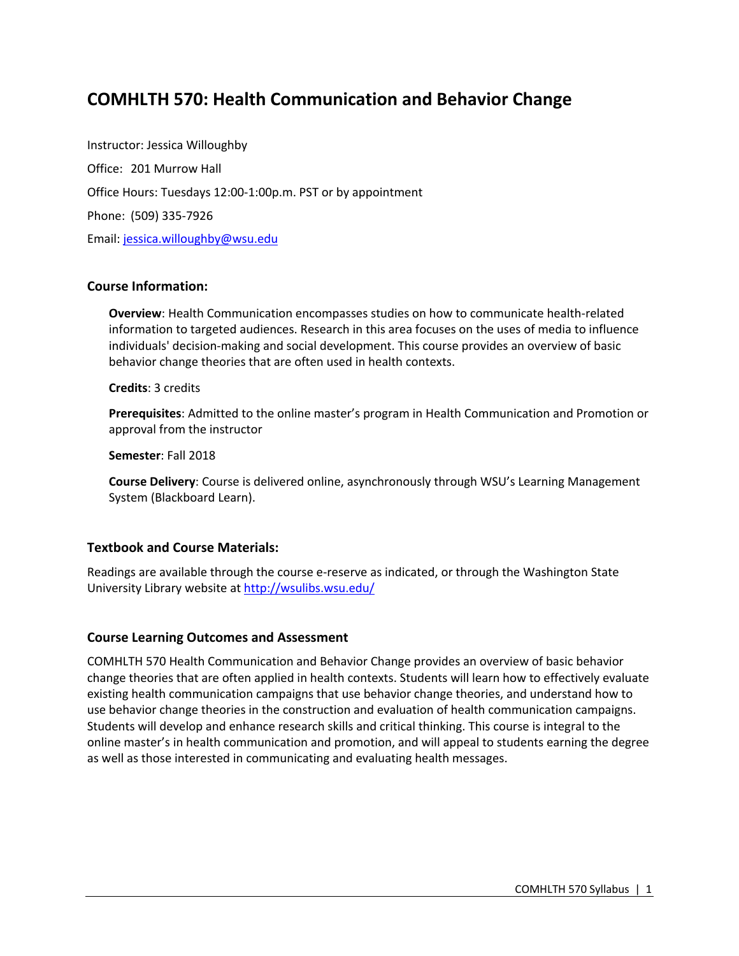# **COMHLTH 570: Health Communication and Behavior Change**

Instructor: Jessica Willoughby Office: 201 Murrow Hall Office Hours: Tuesdays 12:00-1:00p.m. PST or by appointment Phone: (509) 335-7926 Email: jessica.willoughby@wsu.edu

### **Course Information:**

**Overview**: Health Communication encompasses studies on how to communicate health-related information to targeted audiences. Research in this area focuses on the uses of media to influence individuals' decision-making and social development. This course provides an overview of basic behavior change theories that are often used in health contexts.

**Credits**: 3 credits

**Prerequisites**: Admitted to the online master's program in Health Communication and Promotion or approval from the instructor

**Semester**: Fall 2018

**Course Delivery**: Course is delivered online, asynchronously through WSU's Learning Management System (Blackboard Learn).

#### **Textbook and Course Materials:**

Readings are available through the course e-reserve as indicated, or through the Washington State University Library website at http://wsulibs.wsu.edu/

#### **Course Learning Outcomes and Assessment**

COMHLTH 570 Health Communication and Behavior Change provides an overview of basic behavior change theories that are often applied in health contexts. Students will learn how to effectively evaluate existing health communication campaigns that use behavior change theories, and understand how to use behavior change theories in the construction and evaluation of health communication campaigns. Students will develop and enhance research skills and critical thinking. This course is integral to the online master's in health communication and promotion, and will appeal to students earning the degree as well as those interested in communicating and evaluating health messages.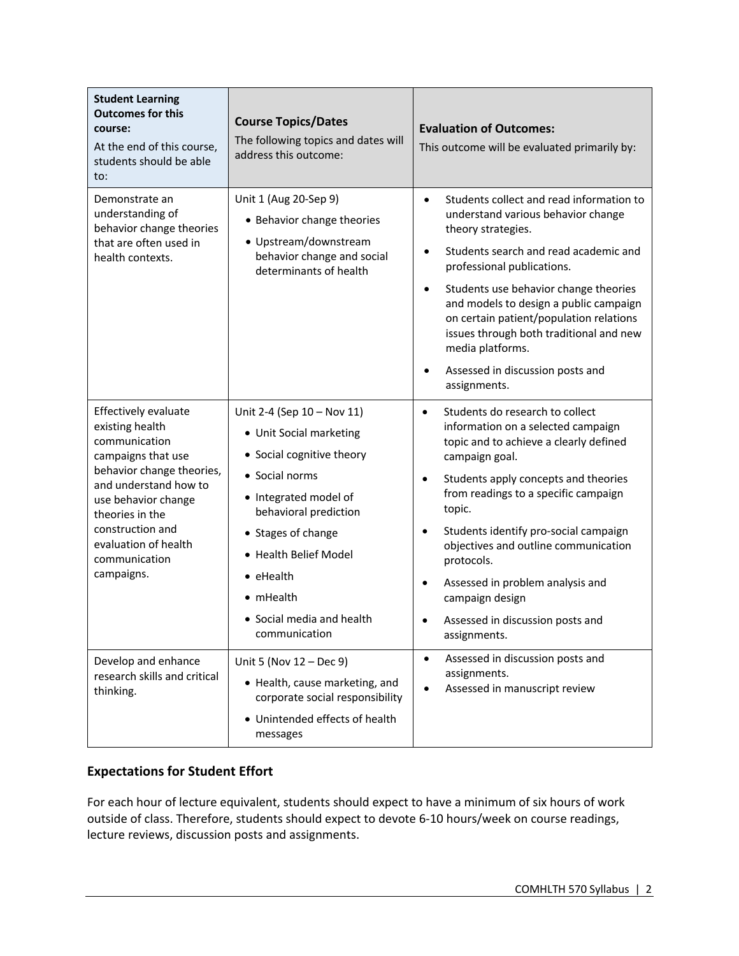| <b>Student Learning</b><br><b>Outcomes for this</b><br>course:<br>At the end of this course,<br>students should be able<br>to:                                                                                                                            | <b>Course Topics/Dates</b><br>The following topics and dates will<br>address this outcome:                                                                                                                                                                                            | <b>Evaluation of Outcomes:</b><br>This outcome will be evaluated primarily by:                                                                                                                                                                                                                                                                                                                                                                                                    |
|-----------------------------------------------------------------------------------------------------------------------------------------------------------------------------------------------------------------------------------------------------------|---------------------------------------------------------------------------------------------------------------------------------------------------------------------------------------------------------------------------------------------------------------------------------------|-----------------------------------------------------------------------------------------------------------------------------------------------------------------------------------------------------------------------------------------------------------------------------------------------------------------------------------------------------------------------------------------------------------------------------------------------------------------------------------|
| Demonstrate an<br>understanding of<br>behavior change theories<br>that are often used in<br>health contexts.                                                                                                                                              | Unit 1 (Aug 20-Sep 9)<br>• Behavior change theories<br>· Upstream/downstream<br>behavior change and social<br>determinants of health                                                                                                                                                  | Students collect and read information to<br>$\bullet$<br>understand various behavior change<br>theory strategies.<br>Students search and read academic and<br>$\bullet$<br>professional publications.<br>Students use behavior change theories<br>$\bullet$<br>and models to design a public campaign<br>on certain patient/population relations<br>issues through both traditional and new<br>media platforms.<br>Assessed in discussion posts and<br>assignments.               |
| Effectively evaluate<br>existing health<br>communication<br>campaigns that use<br>behavior change theories,<br>and understand how to<br>use behavior change<br>theories in the<br>construction and<br>evaluation of health<br>communication<br>campaigns. | Unit 2-4 (Sep 10 - Nov 11)<br>• Unit Social marketing<br>• Social cognitive theory<br>• Social norms<br>• Integrated model of<br>behavioral prediction<br>• Stages of change<br>• Health Belief Model<br>$\bullet$ eHealth<br>• mHealth<br>• Social media and health<br>communication | Students do research to collect<br>$\bullet$<br>information on a selected campaign<br>topic and to achieve a clearly defined<br>campaign goal.<br>Students apply concepts and theories<br>٠<br>from readings to a specific campaign<br>topic.<br>Students identify pro-social campaign<br>$\bullet$<br>objectives and outline communication<br>protocols.<br>Assessed in problem analysis and<br>$\bullet$<br>campaign design<br>Assessed in discussion posts and<br>assignments. |
| Develop and enhance<br>research skills and critical<br>thinking.                                                                                                                                                                                          | Unit 5 (Nov 12 - Dec 9)<br>• Health, cause marketing, and<br>corporate social responsibility<br>• Unintended effects of health<br>messages                                                                                                                                            | Assessed in discussion posts and<br>$\bullet$<br>assignments.<br>Assessed in manuscript review<br>$\bullet$                                                                                                                                                                                                                                                                                                                                                                       |

## **Expectations for Student Effort**

For each hour of lecture equivalent, students should expect to have a minimum of six hours of work outside of class. Therefore, students should expect to devote 6-10 hours/week on course readings, lecture reviews, discussion posts and assignments.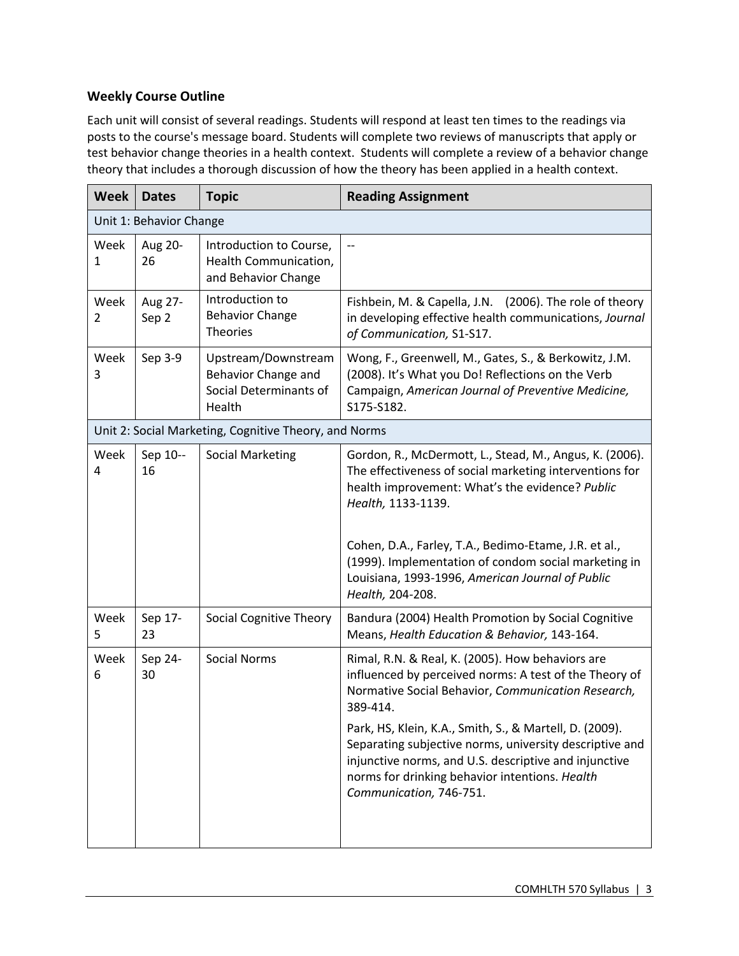## **Weekly Course Outline**

Each unit will consist of several readings. Students will respond at least ten times to the readings via posts to the course's message board. Students will complete two reviews of manuscripts that apply or test behavior change theories in a health context. Students will complete a review of a behavior change theory that includes a thorough discussion of how the theory has been applied in a health context.

| Fishbein, M. & Capella, J.N. (2006). The role of theory<br>in developing effective health communications, Journal                                                                                                             |
|-------------------------------------------------------------------------------------------------------------------------------------------------------------------------------------------------------------------------------|
| Wong, F., Greenwell, M., Gates, S., & Berkowitz, J.M.<br>(2008). It's What you Do! Reflections on the Verb<br>Campaign, American Journal of Preventive Medicine,                                                              |
|                                                                                                                                                                                                                               |
| Gordon, R., McDermott, L., Stead, M., Angus, K. (2006).<br>The effectiveness of social marketing interventions for<br>health improvement: What's the evidence? Public                                                         |
| Cohen, D.A., Farley, T.A., Bedimo-Etame, J.R. et al.,<br>(1999). Implementation of condom social marketing in<br>Louisiana, 1993-1996, American Journal of Public                                                             |
| Bandura (2004) Health Promotion by Social Cognitive<br>Means, Health Education & Behavior, 143-164.                                                                                                                           |
| Rimal, R.N. & Real, K. (2005). How behaviors are<br>influenced by perceived norms: A test of the Theory of<br>Normative Social Behavior, Communication Research,                                                              |
| Park, HS, Klein, K.A., Smith, S., & Martell, D. (2009).<br>Separating subjective norms, university descriptive and<br>injunctive norms, and U.S. descriptive and injunctive<br>norms for drinking behavior intentions. Health |
|                                                                                                                                                                                                                               |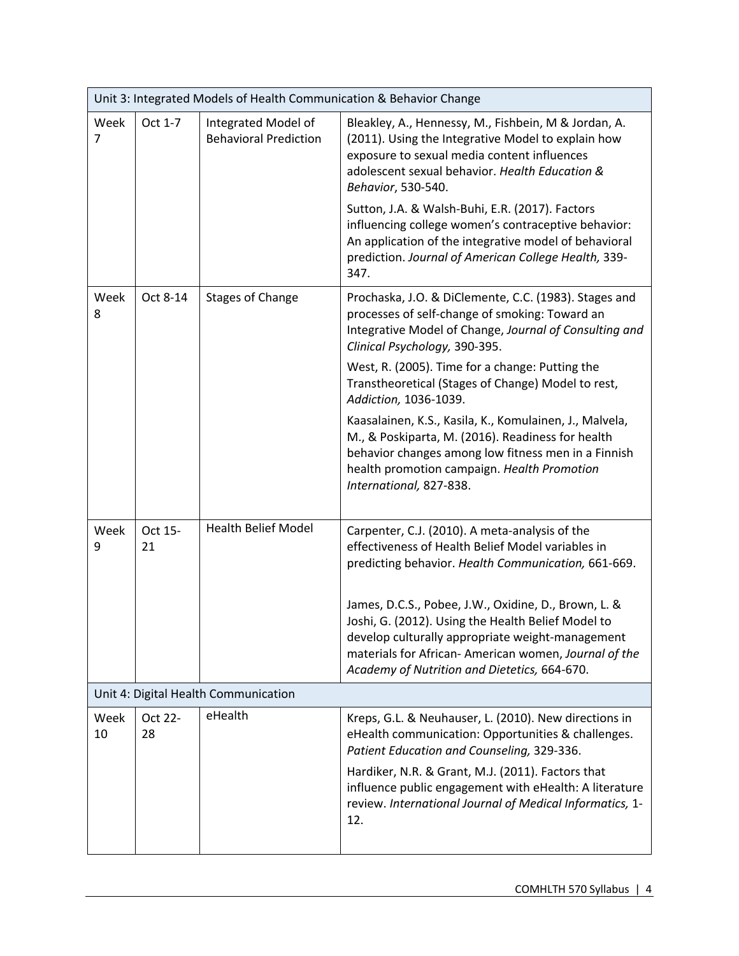| Unit 3: Integrated Models of Health Communication & Behavior Change |                                      |                                                     |                                                                                                                                                                                                                                                                        |  |
|---------------------------------------------------------------------|--------------------------------------|-----------------------------------------------------|------------------------------------------------------------------------------------------------------------------------------------------------------------------------------------------------------------------------------------------------------------------------|--|
| Week<br>$\overline{7}$                                              | Oct 1-7                              | Integrated Model of<br><b>Behavioral Prediction</b> | Bleakley, A., Hennessy, M., Fishbein, M & Jordan, A.<br>(2011). Using the Integrative Model to explain how<br>exposure to sexual media content influences<br>adolescent sexual behavior. Health Education &<br>Behavior, 530-540.                                      |  |
|                                                                     |                                      |                                                     | Sutton, J.A. & Walsh-Buhi, E.R. (2017). Factors<br>influencing college women's contraceptive behavior:<br>An application of the integrative model of behavioral<br>prediction. Journal of American College Health, 339-<br>347.                                        |  |
| Week<br>8                                                           | Oct 8-14                             | <b>Stages of Change</b>                             | Prochaska, J.O. & DiClemente, C.C. (1983). Stages and<br>processes of self-change of smoking: Toward an<br>Integrative Model of Change, Journal of Consulting and<br>Clinical Psychology, 390-395.                                                                     |  |
|                                                                     |                                      |                                                     | West, R. (2005). Time for a change: Putting the<br>Transtheoretical (Stages of Change) Model to rest,<br>Addiction, 1036-1039.                                                                                                                                         |  |
|                                                                     |                                      |                                                     | Kaasalainen, K.S., Kasila, K., Komulainen, J., Malvela,<br>M., & Poskiparta, M. (2016). Readiness for health<br>behavior changes among low fitness men in a Finnish<br>health promotion campaign. Health Promotion<br>International, 827-838.                          |  |
| Week<br>9                                                           | Oct 15-<br>21                        | <b>Health Belief Model</b>                          | Carpenter, C.J. (2010). A meta-analysis of the<br>effectiveness of Health Belief Model variables in<br>predicting behavior. Health Communication, 661-669.                                                                                                             |  |
|                                                                     |                                      |                                                     | James, D.C.S., Pobee, J.W., Oxidine, D., Brown, L. &<br>Joshi, G. (2012). Using the Health Belief Model to<br>develop culturally appropriate weight-management<br>materials for African-American women, Journal of the<br>Academy of Nutrition and Dietetics, 664-670. |  |
|                                                                     | Unit 4: Digital Health Communication |                                                     |                                                                                                                                                                                                                                                                        |  |
| Week<br>10                                                          | Oct 22-<br>28                        | eHealth                                             | Kreps, G.L. & Neuhauser, L. (2010). New directions in<br>eHealth communication: Opportunities & challenges.<br>Patient Education and Counseling, 329-336.                                                                                                              |  |
|                                                                     |                                      |                                                     | Hardiker, N.R. & Grant, M.J. (2011). Factors that<br>influence public engagement with eHealth: A literature<br>review. International Journal of Medical Informatics, 1-<br>12.                                                                                         |  |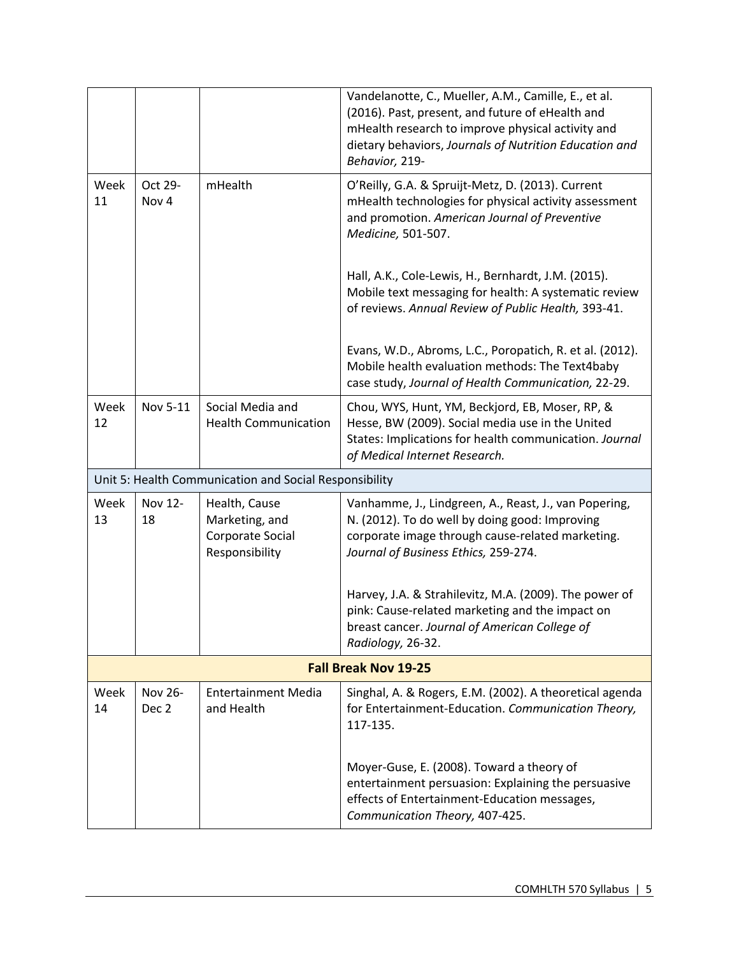|            |                             |                                                                       | Vandelanotte, C., Mueller, A.M., Camille, E., et al.<br>(2016). Past, present, and future of eHealth and<br>mHealth research to improve physical activity and<br>dietary behaviors, Journals of Nutrition Education and<br>Behavior, 219- |  |  |
|------------|-----------------------------|-----------------------------------------------------------------------|-------------------------------------------------------------------------------------------------------------------------------------------------------------------------------------------------------------------------------------------|--|--|
| Week<br>11 | Oct 29-<br>Nov 4            | mHealth                                                               | O'Reilly, G.A. & Spruijt-Metz, D. (2013). Current<br>mHealth technologies for physical activity assessment<br>and promotion. American Journal of Preventive<br>Medicine, 501-507.                                                         |  |  |
|            |                             |                                                                       | Hall, A.K., Cole-Lewis, H., Bernhardt, J.M. (2015).<br>Mobile text messaging for health: A systematic review<br>of reviews. Annual Review of Public Health, 393-41.                                                                       |  |  |
|            |                             |                                                                       | Evans, W.D., Abroms, L.C., Poropatich, R. et al. (2012).<br>Mobile health evaluation methods: The Text4baby<br>case study, Journal of Health Communication, 22-29.                                                                        |  |  |
| Week<br>12 | Nov 5-11                    | Social Media and<br><b>Health Communication</b>                       | Chou, WYS, Hunt, YM, Beckjord, EB, Moser, RP, &<br>Hesse, BW (2009). Social media use in the United<br>States: Implications for health communication. Journal<br>of Medical Internet Research.                                            |  |  |
|            |                             | Unit 5: Health Communication and Social Responsibility                |                                                                                                                                                                                                                                           |  |  |
| Week<br>13 | Nov 12-<br>18               | Health, Cause<br>Marketing, and<br>Corporate Social<br>Responsibility | Vanhamme, J., Lindgreen, A., Reast, J., van Popering,<br>N. (2012). To do well by doing good: Improving<br>corporate image through cause-related marketing.<br>Journal of Business Ethics, 259-274.                                       |  |  |
|            |                             |                                                                       | Harvey, J.A. & Strahilevitz, M.A. (2009). The power of<br>pink: Cause-related marketing and the impact on<br>breast cancer. Journal of American College of<br>Radiology, 26-32.                                                           |  |  |
|            | <b>Fall Break Nov 19-25</b> |                                                                       |                                                                                                                                                                                                                                           |  |  |
| Week<br>14 | Nov 26-<br>Dec <sub>2</sub> | <b>Entertainment Media</b><br>and Health                              | Singhal, A. & Rogers, E.M. (2002). A theoretical agenda<br>for Entertainment-Education. Communication Theory,<br>117-135.                                                                                                                 |  |  |
|            |                             |                                                                       | Moyer-Guse, E. (2008). Toward a theory of<br>entertainment persuasion: Explaining the persuasive<br>effects of Entertainment-Education messages,<br>Communication Theory, 407-425.                                                        |  |  |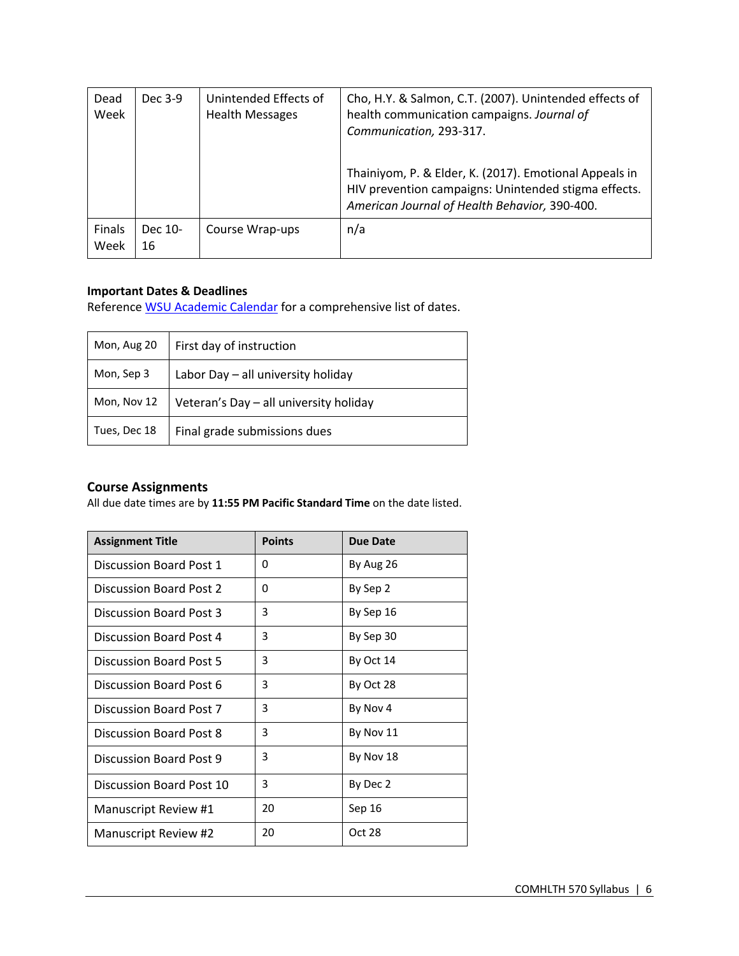| Dead<br>Week   | Dec 3-9       | Unintended Effects of<br><b>Health Messages</b> | Cho, H.Y. & Salmon, C.T. (2007). Unintended effects of<br>health communication campaigns. Journal of<br>Communication, 293-317.<br>Thainiyom, P. & Elder, K. (2017). Emotional Appeals in<br>HIV prevention campaigns: Unintended stigma effects.<br>American Journal of Health Behavior, 390-400. |
|----------------|---------------|-------------------------------------------------|----------------------------------------------------------------------------------------------------------------------------------------------------------------------------------------------------------------------------------------------------------------------------------------------------|
| Finals<br>Week | Dec 10-<br>16 | Course Wrap-ups                                 | n/a                                                                                                                                                                                                                                                                                                |

#### **Important Dates & Deadlines**

Reference WSU Academic Calendar for a comprehensive list of dates.

| Mon, Aug 20  | First day of instruction               |  |
|--------------|----------------------------------------|--|
| Mon, Sep 3   | Labor Day - all university holiday     |  |
| Mon, Nov 12  | Veteran's Day - all university holiday |  |
| Tues, Dec 18 | Final grade submissions dues           |  |

## **Course Assignments**

All due date times are by **11:55 PM Pacific Standard Time** on the date listed.

| <b>Assignment Title</b>  | <b>Points</b> | <b>Due Date</b> |
|--------------------------|---------------|-----------------|
| Discussion Board Post 1  | 0             | By Aug 26       |
| Discussion Board Post 2  | 0             | By Sep 2        |
| Discussion Board Post 3  | 3             | By Sep 16       |
| Discussion Board Post 4  | 3             | By Sep 30       |
| Discussion Board Post 5  | 3             | By Oct 14       |
| Discussion Board Post 6  | 3             | By Oct 28       |
| Discussion Board Post 7  | 3             | By Nov 4        |
| Discussion Board Post 8  | 3             | By Nov 11       |
| Discussion Board Post 9  | 3             | By Nov 18       |
| Discussion Board Post 10 | 3             | By Dec 2        |
| Manuscript Review #1     | 20            | Sep 16          |
| Manuscript Review #2     | 20            | Oct 28          |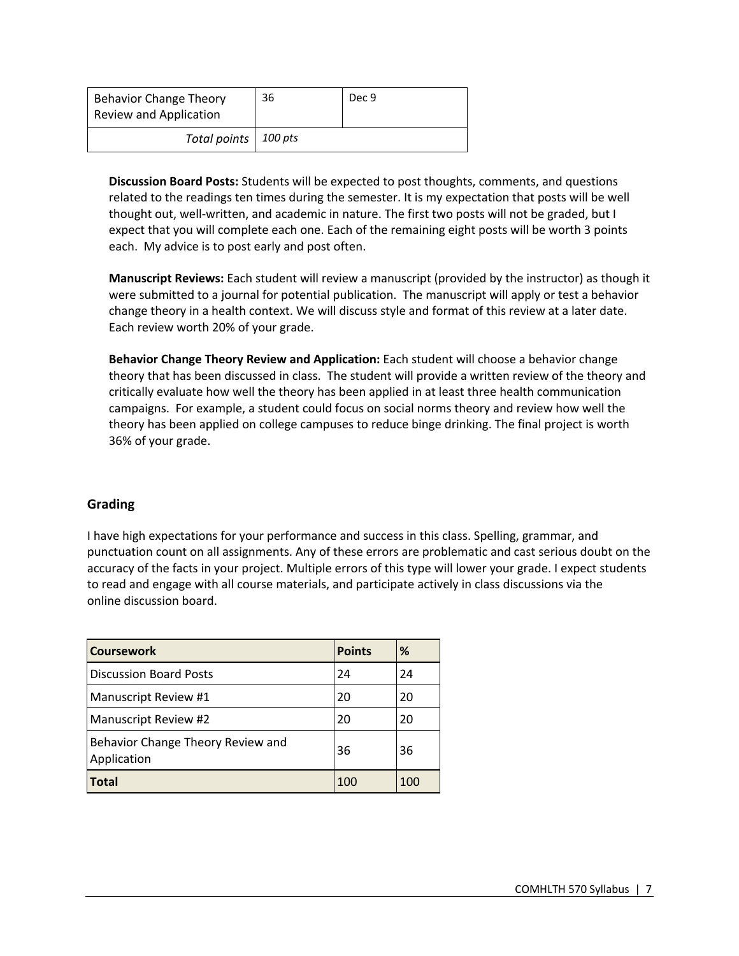| <b>Behavior Change Theory</b><br><b>Review and Application</b> | 36 | Dec 9 |
|----------------------------------------------------------------|----|-------|
| Total points   100 pts                                         |    |       |

**Discussion Board Posts:** Students will be expected to post thoughts, comments, and questions related to the readings ten times during the semester. It is my expectation that posts will be well thought out, well-written, and academic in nature. The first two posts will not be graded, but I expect that you will complete each one. Each of the remaining eight posts will be worth 3 points each. My advice is to post early and post often.

**Manuscript Reviews:** Each student will review a manuscript (provided by the instructor) as though it were submitted to a journal for potential publication. The manuscript will apply or test a behavior change theory in a health context. We will discuss style and format of this review at a later date. Each review worth 20% of your grade.

**Behavior Change Theory Review and Application:** Each student will choose a behavior change theory that has been discussed in class. The student will provide a written review of the theory and critically evaluate how well the theory has been applied in at least three health communication campaigns. For example, a student could focus on social norms theory and review how well the theory has been applied on college campuses to reduce binge drinking. The final project is worth 36% of your grade.

#### **Grading**

I have high expectations for your performance and success in this class. Spelling, grammar, and punctuation count on all assignments. Any of these errors are problematic and cast serious doubt on the accuracy of the facts in your project. Multiple errors of this type will lower your grade. I expect students to read and engage with all course materials, and participate actively in class discussions via the online discussion board.

| <b>Coursework</b>                                | <b>Points</b> | %   |
|--------------------------------------------------|---------------|-----|
| <b>Discussion Board Posts</b>                    | 24            | 24  |
| Manuscript Review #1                             | 20            | 20  |
| Manuscript Review #2                             | 20            | 20  |
| Behavior Change Theory Review and<br>Application | 36            | 36  |
| <b>Total</b>                                     | 100           | 100 |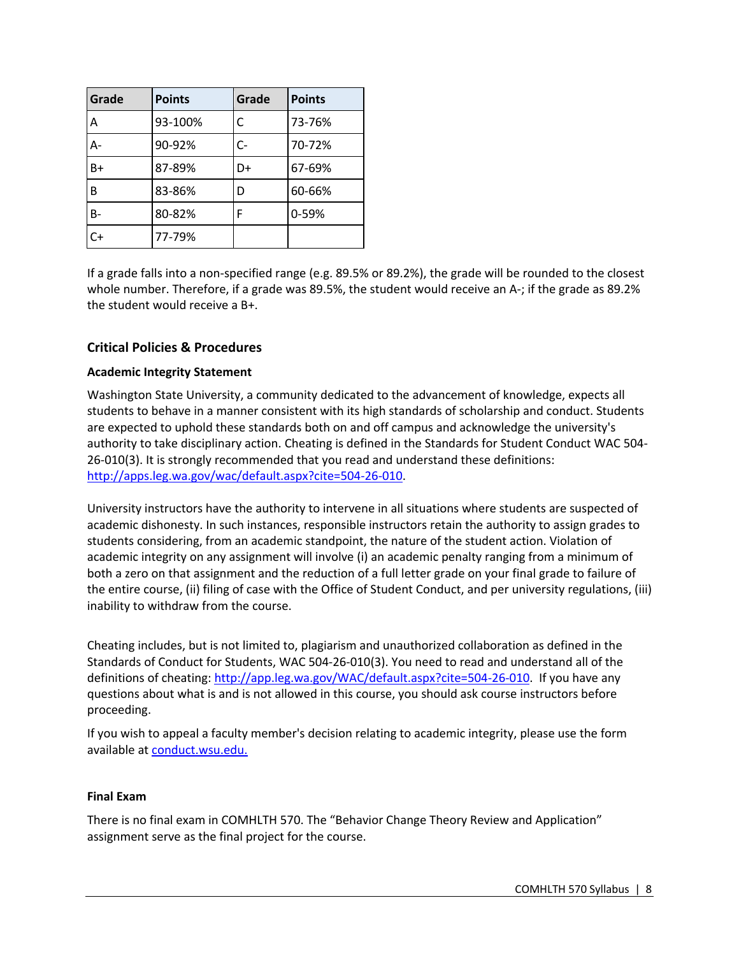| Grade     | <b>Points</b> | Grade | <b>Points</b> |
|-----------|---------------|-------|---------------|
| Α         | 93-100%       | C     | 73-76%        |
| А-        | 90-92%        | C-    | 70-72%        |
| $B+$      | 87-89%        | D+    | 67-69%        |
| B         | 83-86%        | D     | 60-66%        |
| <b>B-</b> | 80-82%        | F     | 0-59%         |
| $C+$      | 77-79%        |       |               |

If a grade falls into a non-specified range (e.g. 89.5% or 89.2%), the grade will be rounded to the closest whole number. Therefore, if a grade was 89.5%, the student would receive an A-; if the grade as 89.2% the student would receive a B+.

#### **Critical Policies & Procedures**

#### **Academic Integrity Statement**

Washington State University, a community dedicated to the advancement of knowledge, expects all students to behave in a manner consistent with its high standards of scholarship and conduct. Students are expected to uphold these standards both on and off campus and acknowledge the university's authority to take disciplinary action. Cheating is defined in the Standards for Student Conduct WAC 504- 26-010(3). It is strongly recommended that you read and understand these definitions: http://apps.leg.wa.gov/wac/default.aspx?cite=504-26-010.

University instructors have the authority to intervene in all situations where students are suspected of academic dishonesty. In such instances, responsible instructors retain the authority to assign grades to students considering, from an academic standpoint, the nature of the student action. Violation of academic integrity on any assignment will involve (i) an academic penalty ranging from a minimum of both a zero on that assignment and the reduction of a full letter grade on your final grade to failure of the entire course, (ii) filing of case with the Office of Student Conduct, and per university regulations, (iii) inability to withdraw from the course.

Cheating includes, but is not limited to, plagiarism and unauthorized collaboration as defined in the Standards of Conduct for Students, WAC 504-26-010(3). You need to read and understand all of the definitions of cheating: http://app.leg.wa.gov/WAC/default.aspx?cite=504-26-010. If you have any questions about what is and is not allowed in this course, you should ask course instructors before proceeding.

If you wish to appeal a faculty member's decision relating to academic integrity, please use the form available at conduct.wsu.edu.

#### **Final Exam**

There is no final exam in COMHLTH 570. The "Behavior Change Theory Review and Application" assignment serve as the final project for the course.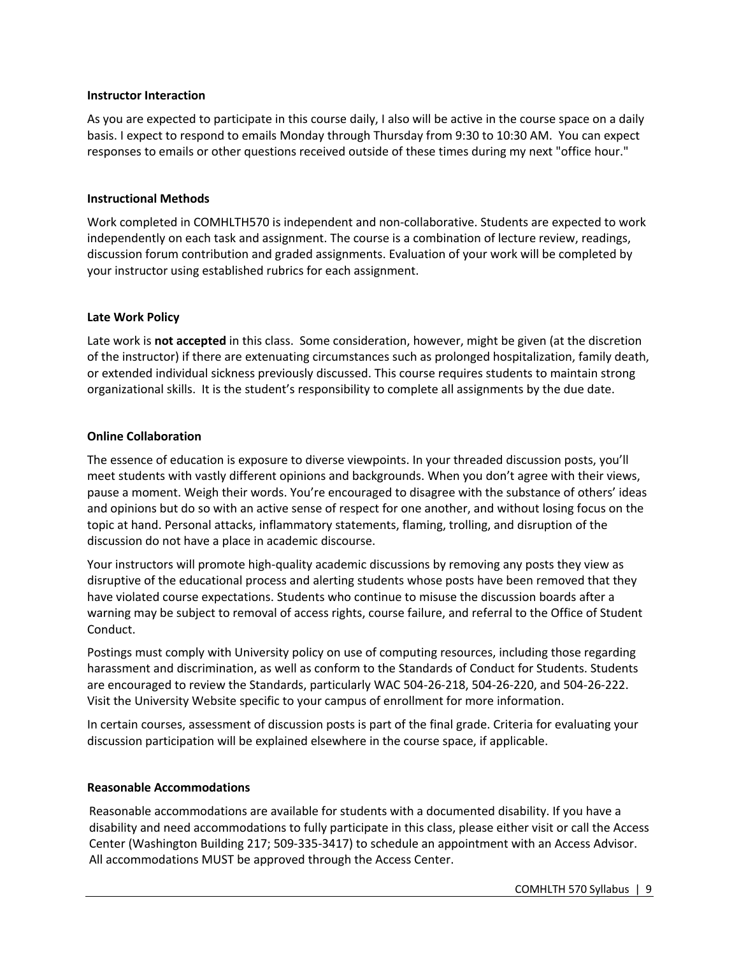#### **Instructor Interaction**

As you are expected to participate in this course daily, I also will be active in the course space on a daily basis. I expect to respond to emails Monday through Thursday from 9:30 to 10:30 AM. You can expect responses to emails or other questions received outside of these times during my next "office hour."

#### **Instructional Methods**

Work completed in COMHLTH570 is independent and non-collaborative. Students are expected to work independently on each task and assignment. The course is a combination of lecture review, readings, discussion forum contribution and graded assignments. Evaluation of your work will be completed by your instructor using established rubrics for each assignment.

#### **Late Work Policy**

Late work is **not accepted** in this class.Some consideration, however, might be given (at the discretion of the instructor) if there are extenuating circumstances such as prolonged hospitalization, family death, or extended individual sickness previously discussed. This course requires students to maintain strong organizational skills. It is the student's responsibility to complete all assignments by the due date.

#### **Online Collaboration**

The essence of education is exposure to diverse viewpoints. In your threaded discussion posts, you'll meet students with vastly different opinions and backgrounds. When you don't agree with their views, pause a moment. Weigh their words. You're encouraged to disagree with the substance of others' ideas and opinions but do so with an active sense of respect for one another, and without losing focus on the topic at hand. Personal attacks, inflammatory statements, flaming, trolling, and disruption of the discussion do not have a place in academic discourse.

Your instructors will promote high-quality academic discussions by removing any posts they view as disruptive of the educational process and alerting students whose posts have been removed that they have violated course expectations. Students who continue to misuse the discussion boards after a warning may be subject to removal of access rights, course failure, and referral to the Office of Student Conduct.

Postings must comply with University policy on use of computing resources, including those regarding harassment and discrimination, as well as conform to the Standards of Conduct for Students. Students are encouraged to review the Standards, particularly WAC 504-26-218, 504-26-220, and 504-26-222. Visit the University Website specific to your campus of enrollment for more information.

In certain courses, assessment of discussion posts is part of the final grade. Criteria for evaluating your discussion participation will be explained elsewhere in the course space, if applicable.

#### **Reasonable Accommodations**

Reasonable accommodations are available for students with a documented disability. If you have a disability and need accommodations to fully participate in this class, please either visit or call the Access Center (Washington Building 217; 509-335-3417) to schedule an appointment with an Access Advisor. All accommodations MUST be approved through the Access Center.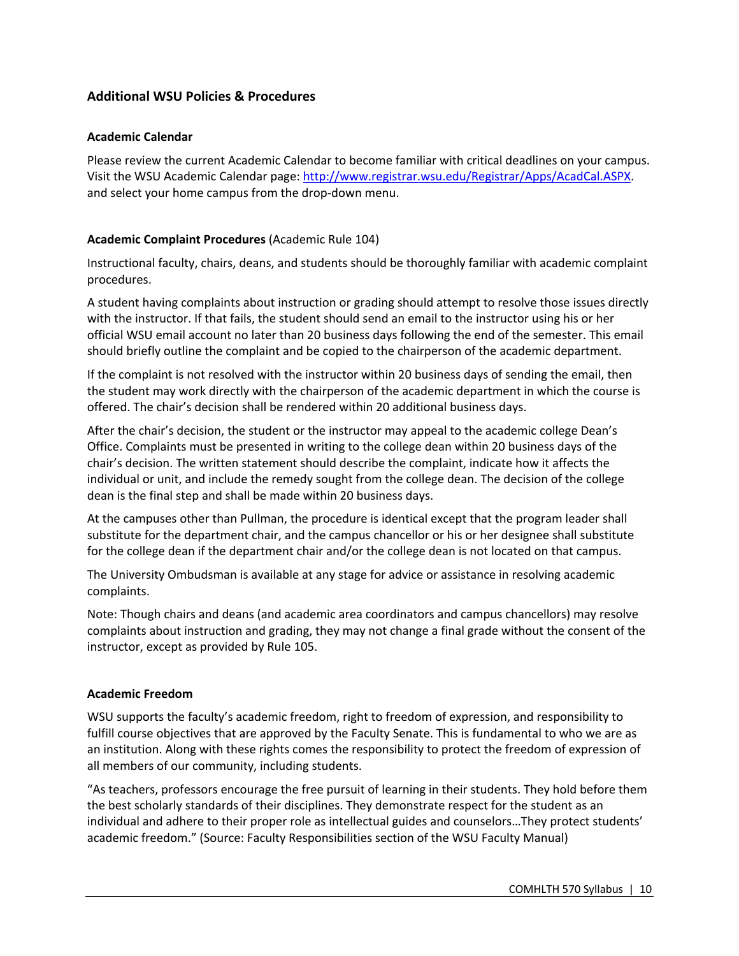## **Additional WSU Policies & Procedures**

#### **Academic Calendar**

Please review the current Academic Calendar to become familiar with critical deadlines on your campus. Visit the WSU Academic Calendar page: http://www.registrar.wsu.edu/Registrar/Apps/AcadCal.ASPX. and select your home campus from the drop-down menu.

#### **Academic Complaint Procedures** (Academic Rule 104)

Instructional faculty, chairs, deans, and students should be thoroughly familiar with academic complaint procedures.

A student having complaints about instruction or grading should attempt to resolve those issues directly with the instructor. If that fails, the student should send an email to the instructor using his or her official WSU email account no later than 20 business days following the end of the semester. This email should briefly outline the complaint and be copied to the chairperson of the academic department.

If the complaint is not resolved with the instructor within 20 business days of sending the email, then the student may work directly with the chairperson of the academic department in which the course is offered. The chair's decision shall be rendered within 20 additional business days.

After the chair's decision, the student or the instructor may appeal to the academic college Dean's Office. Complaints must be presented in writing to the college dean within 20 business days of the chair's decision. The written statement should describe the complaint, indicate how it affects the individual or unit, and include the remedy sought from the college dean. The decision of the college dean is the final step and shall be made within 20 business days.

At the campuses other than Pullman, the procedure is identical except that the program leader shall substitute for the department chair, and the campus chancellor or his or her designee shall substitute for the college dean if the department chair and/or the college dean is not located on that campus.

The University Ombudsman is available at any stage for advice or assistance in resolving academic complaints.

Note: Though chairs and deans (and academic area coordinators and campus chancellors) may resolve complaints about instruction and grading, they may not change a final grade without the consent of the instructor, except as provided by Rule 105.

#### **Academic Freedom**

WSU supports the faculty's academic freedom, right to freedom of expression, and responsibility to fulfill course objectives that are approved by the Faculty Senate. This is fundamental to who we are as an institution. Along with these rights comes the responsibility to protect the freedom of expression of all members of our community, including students.

"As teachers, professors encourage the free pursuit of learning in their students. They hold before them the best scholarly standards of their disciplines. They demonstrate respect for the student as an individual and adhere to their proper role as intellectual guides and counselors…They protect students' academic freedom." (Source: Faculty Responsibilities section of the WSU Faculty Manual)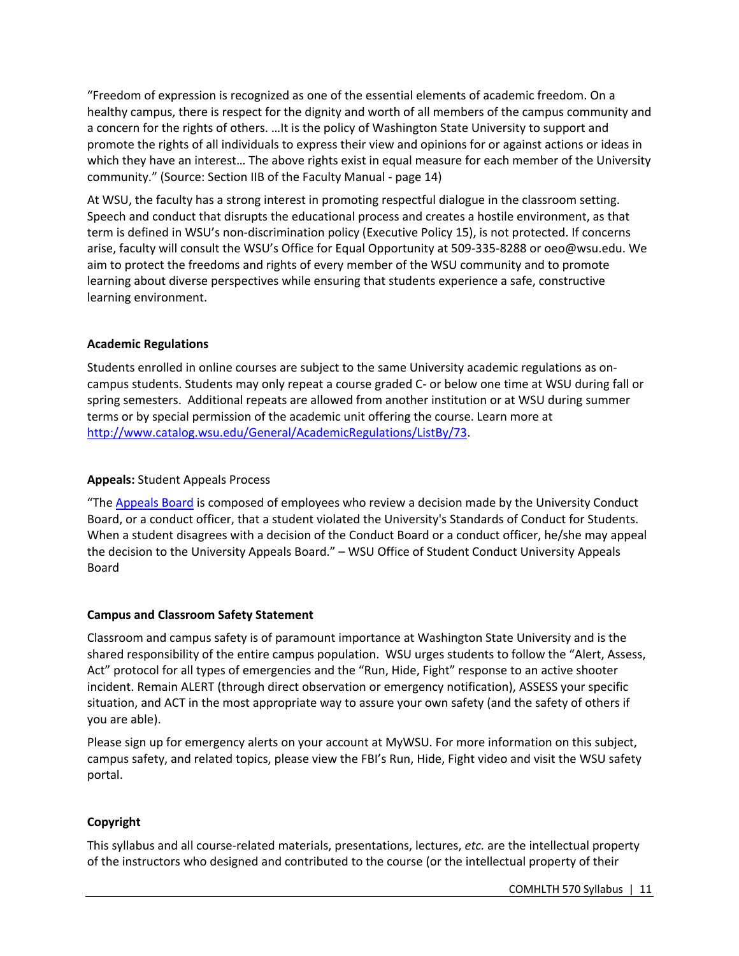"Freedom of expression is recognized as one of the essential elements of academic freedom. On a healthy campus, there is respect for the dignity and worth of all members of the campus community and a concern for the rights of others. …It is the policy of Washington State University to support and promote the rights of all individuals to express their view and opinions for or against actions or ideas in which they have an interest… The above rights exist in equal measure for each member of the University community." (Source: Section IIB of the Faculty Manual - page 14)

At WSU, the faculty has a strong interest in promoting respectful dialogue in the classroom setting. Speech and conduct that disrupts the educational process and creates a hostile environment, as that term is defined in WSU's non-discrimination policy (Executive Policy 15), is not protected. If concerns arise, faculty will consult the WSU's Office for Equal Opportunity at 509-335-8288 or oeo@wsu.edu. We aim to protect the freedoms and rights of every member of the WSU community and to promote learning about diverse perspectives while ensuring that students experience a safe, constructive learning environment.

#### **Academic Regulations**

Students enrolled in online courses are subject to the same University academic regulations as oncampus students. Students may only repeat a course graded C- or below one time at WSU during fall or spring semesters. Additional repeats are allowed from another institution or at WSU during summer terms or by special permission of the academic unit offering the course. Learn more at http://www.catalog.wsu.edu/General/AcademicRegulations/ListBy/73.

#### **Appeals:** Student Appeals Process

"The Appeals Board is composed of employees who review a decision made by the University Conduct Board, or a conduct officer, that a student violated the University's Standards of Conduct for Students. When a student disagrees with a decision of the Conduct Board or a conduct officer, he/she may appeal the decision to the University Appeals Board." – WSU Office of Student Conduct University Appeals Board

#### **Campus and Classroom Safety Statement**

Classroom and campus safety is of paramount importance at Washington State University and is the shared responsibility of the entire campus population. WSU urges students to follow the "Alert, Assess, Act" protocol for all types of emergencies and the "Run, Hide, Fight" response to an active shooter incident. Remain ALERT (through direct observation or emergency notification), ASSESS your specific situation, and ACT in the most appropriate way to assure your own safety (and the safety of others if you are able).

Please sign up for emergency alerts on your account at MyWSU. For more information on this subject, campus safety, and related topics, please view the FBI's Run, Hide, Fight video and visit the WSU safety portal.

#### **Copyright**

This syllabus and all course-related materials, presentations, lectures, *etc.* are the intellectual property of the instructors who designed and contributed to the course (or the intellectual property of their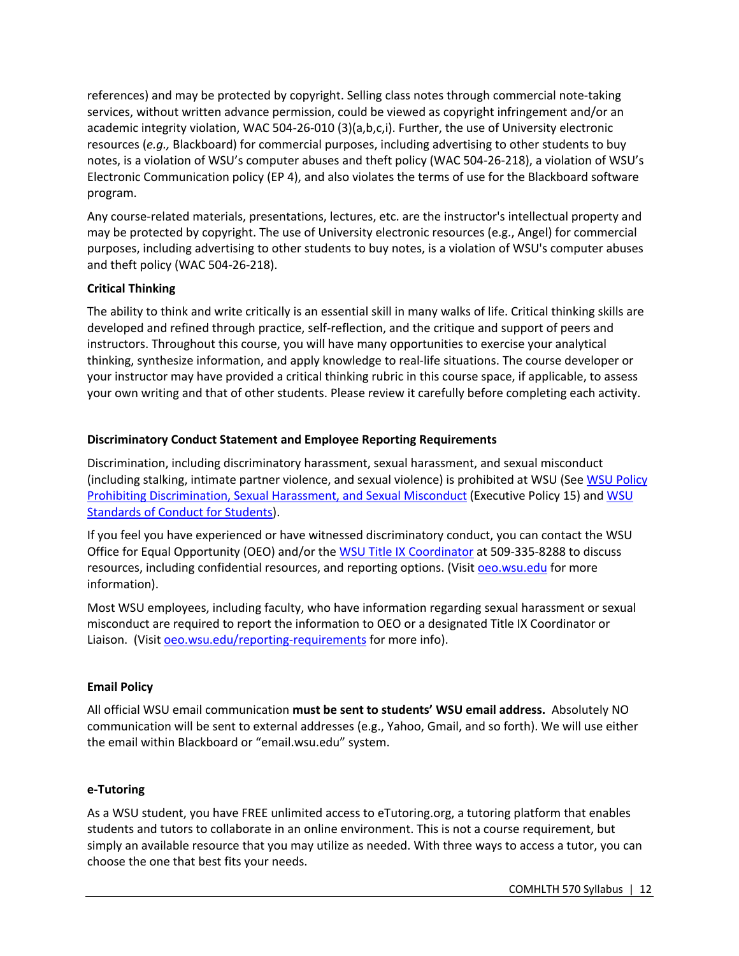references) and may be protected by copyright. Selling class notes through commercial note-taking services, without written advance permission, could be viewed as copyright infringement and/or an academic integrity violation, WAC 504-26-010 (3)(a,b,c,i). Further, the use of University electronic resources (*e.g.,* Blackboard) for commercial purposes, including advertising to other students to buy notes, is a violation of WSU's computer abuses and theft policy (WAC 504-26-218), a violation of WSU's Electronic Communication policy (EP 4), and also violates the terms of use for the Blackboard software program.

Any course-related materials, presentations, lectures, etc. are the instructor's intellectual property and may be protected by copyright. The use of University electronic resources (e.g., Angel) for commercial purposes, including advertising to other students to buy notes, is a violation of WSU's computer abuses and theft policy (WAC 504-26-218).

#### **Critical Thinking**

The ability to think and write critically is an essential skill in many walks of life. Critical thinking skills are developed and refined through practice, self-reflection, and the critique and support of peers and instructors. Throughout this course, you will have many opportunities to exercise your analytical thinking, synthesize information, and apply knowledge to real-life situations. The course developer or your instructor may have provided a critical thinking rubric in this course space, if applicable, to assess your own writing and that of other students. Please review it carefully before completing each activity.

## **Discriminatory Conduct Statement and Employee Reporting Requirements**

Discrimination, including discriminatory harassment, sexual harassment, and sexual misconduct (including stalking, intimate partner violence, and sexual violence) is prohibited at WSU (See WSU Policy Prohibiting Discrimination, Sexual Harassment, and Sexual Misconduct (Executive Policy 15) and WSU Standards of Conduct for Students).

If you feel you have experienced or have witnessed discriminatory conduct, you can contact the WSU Office for Equal Opportunity (OEO) and/or the WSU Title IX Coordinator at 509-335-8288 to discuss resources, including confidential resources, and reporting options. (Visit oeo.wsu.edu for more information).

Most WSU employees, including faculty, who have information regarding sexual harassment or sexual misconduct are required to report the information to OEO or a designated Title IX Coordinator or Liaison. (Visit oeo.wsu.edu/reporting-requirements for more info).

## **Email Policy**

All official WSU email communication **must be sent to students' WSU email address.** Absolutely NO communication will be sent to external addresses (e.g., Yahoo, Gmail, and so forth). We will use either the email within Blackboard or "email.wsu.edu" system.

#### **e-Tutoring**

As a WSU student, you have FREE unlimited access to eTutoring.org, a tutoring platform that enables students and tutors to collaborate in an online environment. This is not a course requirement, but simply an available resource that you may utilize as needed. With three ways to access a tutor, you can choose the one that best fits your needs.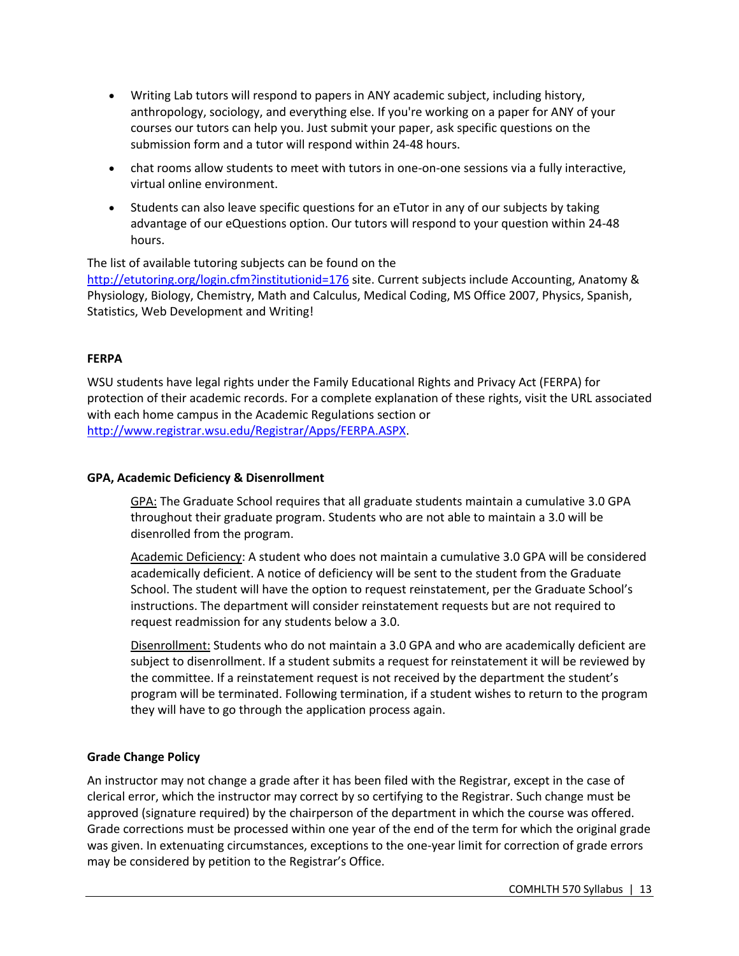- Writing Lab tutors will respond to papers in ANY academic subject, including history, anthropology, sociology, and everything else. If you're working on a paper for ANY of your courses our tutors can help you. Just submit your paper, ask specific questions on the submission form and a tutor will respond within 24-48 hours.
- chat rooms allow students to meet with tutors in one-on-one sessions via a fully interactive, virtual online environment.
- Students can also leave specific questions for an eTutor in any of our subjects by taking advantage of our eQuestions option. Our tutors will respond to your question within 24-48 hours.

The list of available tutoring subjects can be found on the http://etutoring.org/login.cfm?institutionid=176 site. Current subjects include Accounting, Anatomy & Physiology, Biology, Chemistry, Math and Calculus, Medical Coding, MS Office 2007, Physics, Spanish, Statistics, Web Development and Writing!

#### **FERPA**

WSU students have legal rights under the Family Educational Rights and Privacy Act (FERPA) for protection of their academic records. For a complete explanation of these rights, visit the URL associated with each home campus in the Academic Regulations section or http://www.registrar.wsu.edu/Registrar/Apps/FERPA.ASPX.

#### **GPA, Academic Deficiency & Disenrollment**

GPA: The Graduate School requires that all graduate students maintain a cumulative 3.0 GPA throughout their graduate program. Students who are not able to maintain a 3.0 will be disenrolled from the program.

Academic Deficiency: A student who does not maintain a cumulative 3.0 GPA will be considered academically deficient. A notice of deficiency will be sent to the student from the Graduate School. The student will have the option to request reinstatement, per the Graduate School's instructions. The department will consider reinstatement requests but are not required to request readmission for any students below a 3.0.

Disenrollment: Students who do not maintain a 3.0 GPA and who are academically deficient are subject to disenrollment. If a student submits a request for reinstatement it will be reviewed by the committee. If a reinstatement request is not received by the department the student's program will be terminated. Following termination, if a student wishes to return to the program they will have to go through the application process again.

#### **Grade Change Policy**

An instructor may not change a grade after it has been filed with the Registrar, except in the case of clerical error, which the instructor may correct by so certifying to the Registrar. Such change must be approved (signature required) by the chairperson of the department in which the course was offered. Grade corrections must be processed within one year of the end of the term for which the original grade was given. In extenuating circumstances, exceptions to the one-year limit for correction of grade errors may be considered by petition to the Registrar's Office.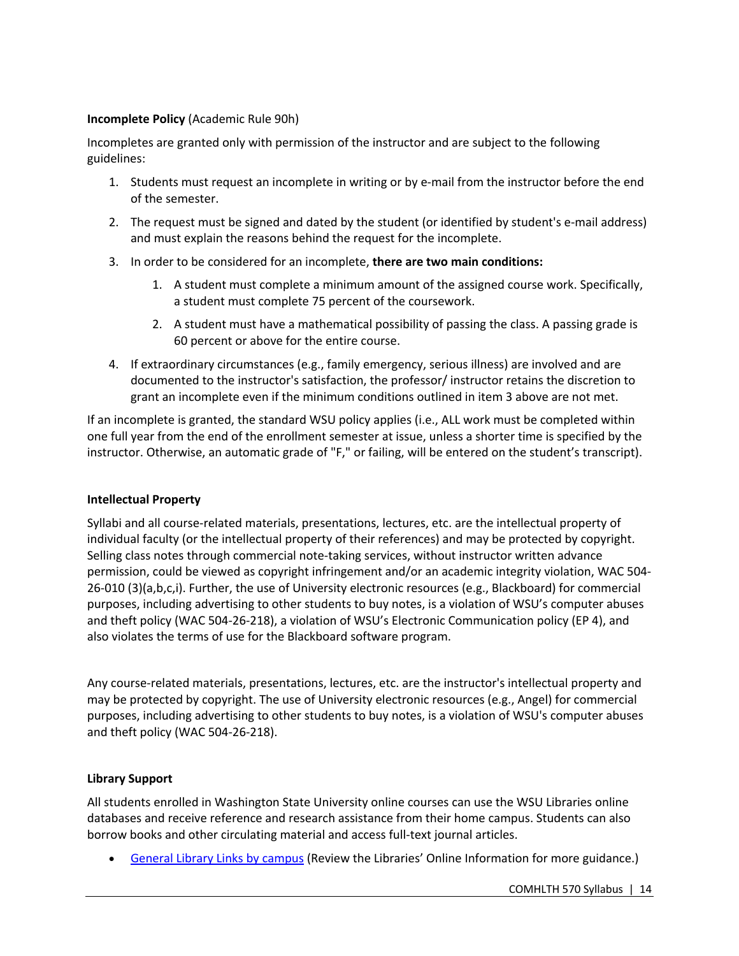#### **Incomplete Policy** (Academic Rule 90h)

Incompletes are granted only with permission of the instructor and are subject to the following guidelines:

- 1. Students must request an incomplete in writing or by e-mail from the instructor before the end of the semester.
- 2. The request must be signed and dated by the student (or identified by student's e-mail address) and must explain the reasons behind the request for the incomplete.
- 3. In order to be considered for an incomplete, **there are two main conditions:**
	- 1. A student must complete a minimum amount of the assigned course work. Specifically, a student must complete 75 percent of the coursework.
	- 2. A student must have a mathematical possibility of passing the class. A passing grade is 60 percent or above for the entire course.
- 4. If extraordinary circumstances (e.g., family emergency, serious illness) are involved and are documented to the instructor's satisfaction, the professor/ instructor retains the discretion to grant an incomplete even if the minimum conditions outlined in item 3 above are not met.

If an incomplete is granted, the standard WSU policy applies (i.e., ALL work must be completed within one full year from the end of the enrollment semester at issue, unless a shorter time is specified by the instructor. Otherwise, an automatic grade of "F," or failing, will be entered on the student's transcript).

#### **Intellectual Property**

Syllabi and all course-related materials, presentations, lectures, etc. are the intellectual property of individual faculty (or the intellectual property of their references) and may be protected by copyright. Selling class notes through commercial note-taking services, without instructor written advance permission, could be viewed as copyright infringement and/or an academic integrity violation, WAC 504- 26-010 (3)(a,b,c,i). Further, the use of University electronic resources (e.g., Blackboard) for commercial purposes, including advertising to other students to buy notes, is a violation of WSU's computer abuses and theft policy (WAC 504-26-218), a violation of WSU's Electronic Communication policy (EP 4), and also violates the terms of use for the Blackboard software program.

Any course-related materials, presentations, lectures, etc. are the instructor's intellectual property and may be protected by copyright. The use of University electronic resources (e.g., Angel) for commercial purposes, including advertising to other students to buy notes, is a violation of WSU's computer abuses and theft policy (WAC 504-26-218).

#### **Library Support**

All students enrolled in Washington State University online courses can use the WSU Libraries online databases and receive reference and research assistance from their home campus. Students can also borrow books and other circulating material and access full-text journal articles.

• General Library Links by campus (Review the Libraries' Online Information for more guidance.)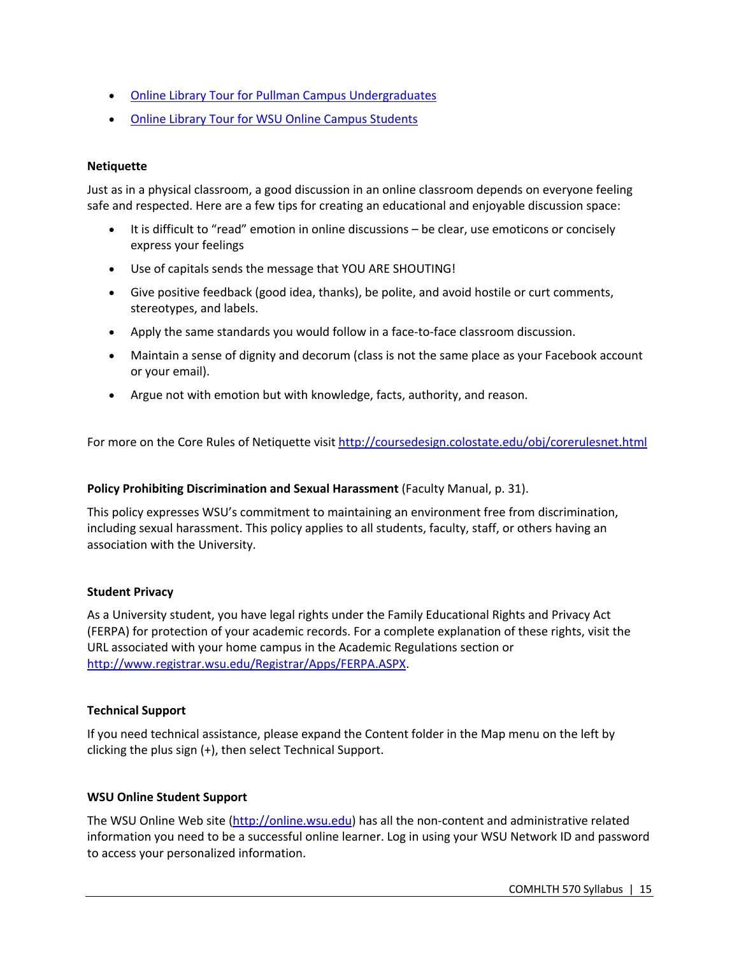- Online Library Tour for Pullman Campus Undergraduates
- Online Library Tour for WSU Online Campus Students

#### **Netiquette**

Just as in a physical classroom, a good discussion in an online classroom depends on everyone feeling safe and respected. Here are a few tips for creating an educational and enjoyable discussion space:

- It is difficult to "read" emotion in online discussions be clear, use emoticons or concisely express your feelings
- Use of capitals sends the message that YOU ARE SHOUTING!
- Give positive feedback (good idea, thanks), be polite, and avoid hostile or curt comments, stereotypes, and labels.
- Apply the same standards you would follow in a face-to-face classroom discussion.
- Maintain a sense of dignity and decorum (class is not the same place as your Facebook account or your email).
- Argue not with emotion but with knowledge, facts, authority, and reason.

For more on the Core Rules of Netiquette visit http://coursedesign.colostate.edu/obj/corerulesnet.html

#### **Policy Prohibiting Discrimination and Sexual Harassment** (Faculty Manual, p. 31).

This policy expresses WSU's commitment to maintaining an environment free from discrimination, including sexual harassment. This policy applies to all students, faculty, staff, or others having an association with the University.

#### **Student Privacy**

As a University student, you have legal rights under the Family Educational Rights and Privacy Act (FERPA) for protection of your academic records. For a complete explanation of these rights, visit the URL associated with your home campus in the Academic Regulations section or http://www.registrar.wsu.edu/Registrar/Apps/FERPA.ASPX.

#### **Technical Support**

If you need technical assistance, please expand the Content folder in the Map menu on the left by clicking the plus sign (+), then select Technical Support.

#### **WSU Online Student Support**

The WSU Online Web site (http://online.wsu.edu) has all the non-content and administrative related information you need to be a successful online learner. Log in using your WSU Network ID and password to access your personalized information.